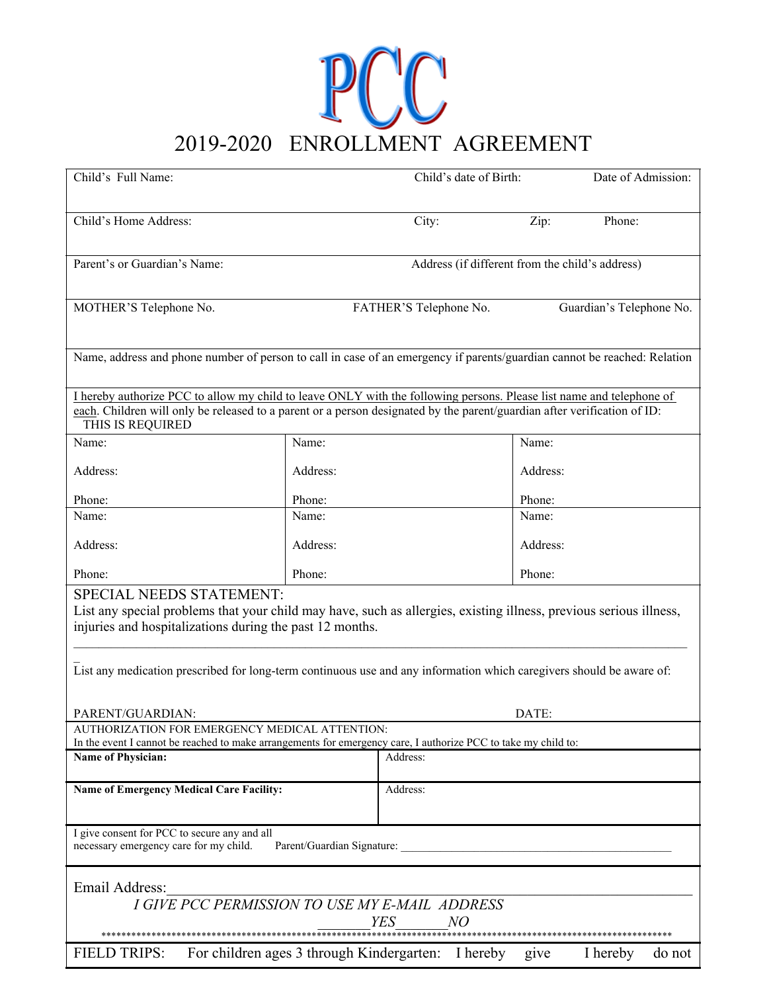## DOCO ENROLLMENT AGREEMENT

| Child's Full Name:                                                                                                                                                                                                                                                                                                                 |                            | Child's date of Birth:                             |          | Date of Admission:       |
|------------------------------------------------------------------------------------------------------------------------------------------------------------------------------------------------------------------------------------------------------------------------------------------------------------------------------------|----------------------------|----------------------------------------------------|----------|--------------------------|
| Child's Home Address:                                                                                                                                                                                                                                                                                                              |                            | City:                                              | Zip:     | Phone:                   |
| Parent's or Guardian's Name:                                                                                                                                                                                                                                                                                                       |                            | Address (if different from the child's address)    |          |                          |
|                                                                                                                                                                                                                                                                                                                                    |                            |                                                    |          |                          |
| MOTHER'S Telephone No.                                                                                                                                                                                                                                                                                                             |                            | FATHER'S Telephone No.                             |          | Guardian's Telephone No. |
| Name, address and phone number of person to call in case of an emergency if parents/guardian cannot be reached: Relation                                                                                                                                                                                                           |                            |                                                    |          |                          |
| I hereby authorize PCC to allow my child to leave ONLY with the following persons. Please list name and telephone of<br>each. Children will only be released to a parent or a person designated by the parent/guardian after verification of ID:<br>THIS IS REQUIRED                                                               |                            |                                                    |          |                          |
| Name:                                                                                                                                                                                                                                                                                                                              | Name:                      |                                                    | Name:    |                          |
| Address:                                                                                                                                                                                                                                                                                                                           | Address:                   |                                                    | Address: |                          |
| Phone:                                                                                                                                                                                                                                                                                                                             | Phone:                     |                                                    | Phone:   |                          |
| Name:                                                                                                                                                                                                                                                                                                                              | Name:                      |                                                    | Name:    |                          |
| Address:                                                                                                                                                                                                                                                                                                                           | Address:                   |                                                    | Address: |                          |
| Phone:                                                                                                                                                                                                                                                                                                                             | Phone:                     |                                                    | Phone:   |                          |
| SPECIAL NEEDS STATEMENT:<br>List any special problems that your child may have, such as allergies, existing illness, previous serious illness,<br>injuries and hospitalizations during the past 12 months.<br>List any medication prescribed for long-term continuous use and any information which caregivers should be aware of: |                            |                                                    |          |                          |
| PARENT/GUARDIAN:                                                                                                                                                                                                                                                                                                                   |                            |                                                    | DATE:    |                          |
| AUTHORIZATION FOR EMERGENCY MEDICAL ATTENTION:<br>In the event I cannot be reached to make arrangements for emergency care, I authorize PCC to take my child to:                                                                                                                                                                   |                            |                                                    |          |                          |
| <b>Name of Physician:</b>                                                                                                                                                                                                                                                                                                          |                            | Address:                                           |          |                          |
| <b>Name of Emergency Medical Care Facility:</b>                                                                                                                                                                                                                                                                                    |                            | Address:                                           |          |                          |
| I give consent for PCC to secure any and all<br>necessary emergency care for my child.                                                                                                                                                                                                                                             | Parent/Guardian Signature: |                                                    |          |                          |
| Email Address:<br>I GIVE PCC PERMISSION TO USE MY E-MAIL ADDRESS                                                                                                                                                                                                                                                                   |                            | <b>YES</b><br>NO                                   |          |                          |
| <b>FIELD TRIPS:</b>                                                                                                                                                                                                                                                                                                                |                            | For children ages 3 through Kindergarten: I hereby | give     | I hereby<br>do not       |